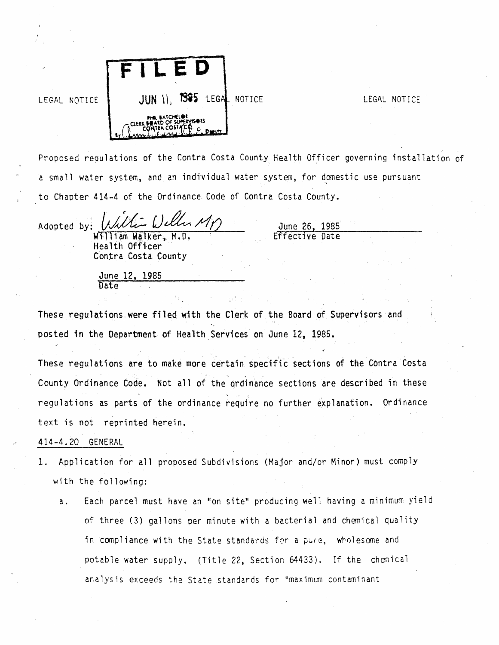

Proposed regulations of the Contra Costa County Health Officer governing installation of a small water system, and an individual water system, for domestic use pursuant to Chapter 414-4 of the Ordinance. Code of Contra Costa County.

Adopted by: *William Weller MT*<br>William Walker, M.D. Effective Date

Health Officer Contra Costa County June 26, 1985

June 12, 1985 **Date** 

These regulations were filed with the Clerk of the Board of Supervisors and posted in the Department of Health Services on June 12, 1985.

These regulations are to make more certain specific sections of the Contra Costa County Ordinance Code. Not all of the ordinance sections are described in these regulations as parts of the ordinance require no further explanation. Ordinance text is not reprinted herein.

## 414-4.20 GENERAL

- 1. Application for all proposed Subdivisions (Major and/or Minor) must comply with the following:
	- a. Each parcel must have an "on site" producing well having a minimum yield of three (3) gallons per minute with a bacterial and chemical quality in compliance with the State standards for a pure, wholesome and potable water supply. (Title 22, Section 64433). If the chemical analysis exceeds the State standards for "maximum contaminant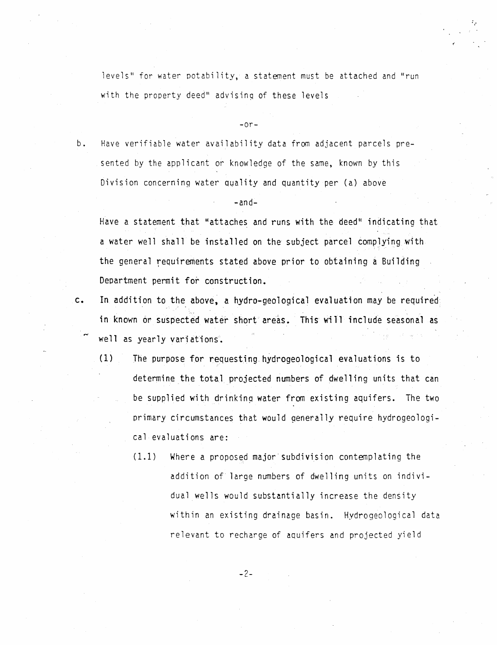levels" for water potability, a statement must be attached and "run with the property deed" advising of these levels

·,·

 $-or-$ 

b. Have verifiable water availability data from adjacent parcels presented by the applicant or knowledge of the same, known by this Division concerning water quality and quantity per (a) above

 $-$ and $-$ 

Have a statement that "attaches and runs with the deed'' indicating that a water well shall be installed on the subject parcel complying with the general requirements stated above prior to obtaining a Building Department permit for construction.

- c. In addition to the above, a hydro-geological evaluation may be required: in known or suspected water short areas. This will include seasonal as well as yearly variations.
	- $(1)$  The purpose for requesting hydrogeological evaluations is to determine the total projected numbers of dwelling units that can be supplied with drinking water from existing aquifers. The two primary circumstances that would generally require hydrogeological evaluations are:
		- (1.1) Where a proposed major· subdivision contemplating the addition of large numbers of dwelling units on individual wells would substantially increase the density within an existing drainage basin. Hydrogeological data relevant to recharge of aquifers and projected yield

-2-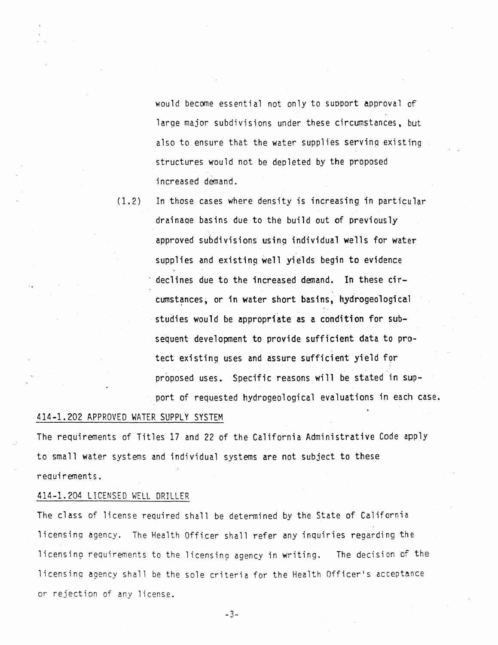would become essential not only to support approval of large major subdivisions under these circumstances, but also to ensure that the water supplies servinq existing structures would not be depleted by the proposed increased demand.

(1.2) In those cases where density is increasing in particular drainage basins due to the build out of previously approved subdivisions using individual wells for water supplies and existing well vields begin to evidence declines due to the increased demand. In these circumstances, or in water short basins, hydrogeological studies would be appropriate as a condition for subsequent development to provide sufficient data to protect existing uses and assure sufficient yield for proposed uses. Specific reasons will be stated in support of requested hydrogeological evaluations in each case.

## 414-1.202 APPROVED WATER SUPPLY SYSTEM

The requirements of Titles 17 and 22 of the California Administrative Code apply to small water systems and individual systems are not subject to these requirements.

#### 414-1.204 LICENSED WELL DRILLER

The class of license required shall be determined by the State of California licensing agency. The Health Officer shall refer any inquiries regarding the licensing requirements to the licensing agency in writing. The decision of the licensinq agency shall be the sole criteria for the Health Officer's acceptance or rejection of any license.

-3-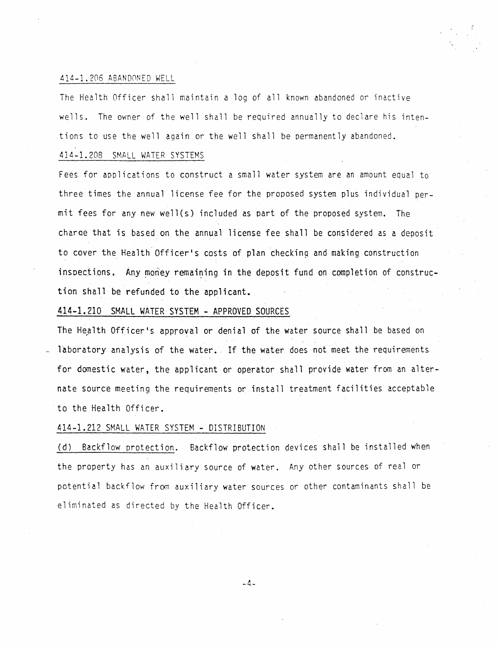## 414-1.206 ABAN00NED WELL

The Health Officer shall maintain a log of all known abandoned or inactive wells. The owner of the well shall be required annually to declare his intentions to use the well again or the well shall be permanently abandoned.

## 414-1.208 SMALL WATER SYSTEMS

Fees for applications to construct a small water system are an amount equal to three times the annual license fee for the proposed system plus individual permit fees for any new well(s) included as part of the proposed system. The charae that is based on the annual license fee shall be considered as a deposit to cover the Health Officer's costs of plan checking and making construction inspections. Any money remaining in the deposit fund on completion of construction shall be refunded to the applicant.

#### 414-1.210 SMALL WATER· SYSTEM - APPROVED SOURCES

The Health Officer's approval or denial of the water source shall be based on laboratory analysis of the water. If the water does not meet the requirements for domestic water, the applicant or operator shall provide water from an alternate source meeting the requirements or install treatment facilities acceptable to the Health Officer.

## 414-1.212 SMALL WATER SYSTEM - DISTRIBUTION

(d) Backflow protection. Backflow protection devices shall be installed when the property has an auxiliary source of water. Any other sources of real or potential backflow from auxiliary water sources or other contaminants shall be eliminated as directed by the Health Officer.

-4-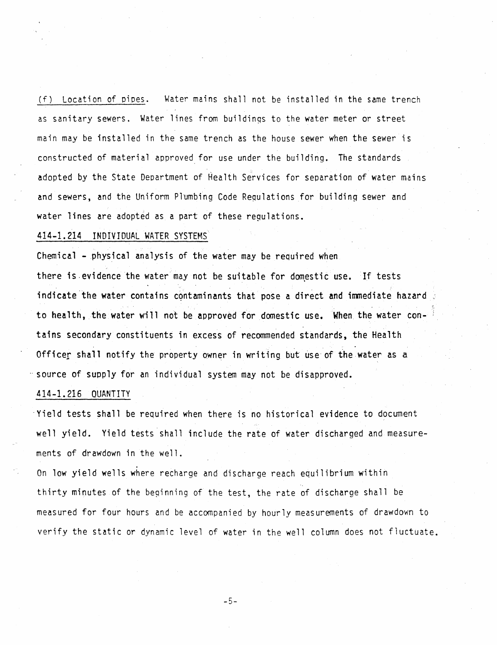(f) Location of pipes. Water mains shall not be installed in the same trench as sanitary sewers. Water lines from buildinqs to the water meter or street main may be installed in the same trench as the house sewer when the sewer is constructed of material approved for use under the building. The standards adopted by the State Deoartment of Health Services for separation of water mains and sewers, and the Uniform Plumbing Code Requlations for building sewer and water lines are adopted as a part of these regulations.

#### 414-1.214 INDIVIDUAL WATER SYSTEMS.

Chemical - physical analysis of the water may be required when

there is evidence the water may not be suitable for domestic use. If tests indicate the water contains contaminants that pose a direct and immediate hazard to health, the water will not be approved for domestic use. When the water contains secondary constituents in excess of recommended standards, the Health Officer shall notify the property owner in writing but use of the water as a ··source of supply for an individual system may not be disapproved.

## 414-1.216 QUANTITY

·Yield tests shall be required when there is no historical evidence to document well yield. Yield tests shall include the rate of water discharged and measurements of drawdown in the well.

On low yield wells where recharge and discharge reach equilibrium within thirty minutes of the beginning of the test, the rate of discharge shall be measured for four hours and be accompanied by hourly measurements of drawdown to verify the static or dynamic level of water in the well column does not fluctuate.

-5-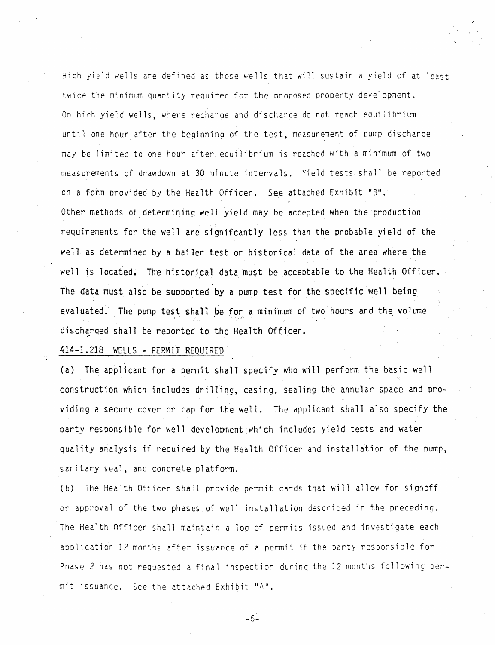Hi9h yield wells are defined as those wells that will sustain a yield of at least twice the minimum quantity required for the orooosed prooerty development. On hiqh yield wells, where recharoe and discharqe do not reach eauilibrium until one hour after the beginning of the test, measurement of pump discharge may be limited to one hour after eauilibrium is reached with a minimum of two measurements of drawdown at 30 minute intervals. Yield tests shall be reported on a form provided by the Health Officer. See attached Exhibit "B". Other methods of determining well yield may be accepted when the production requirements for the well are signifcantly less than the probable yield of the well as determined by a bailer test or historical data of the area where the well is located. The historical data must be acceptable to the Health Officer. The data must also be supported by a pump test for the specific well being evaluated. The pump test shall be for a minimum of two hours and the volume discharged shall be reported to the Health Officer.

414-1.218 WELLS - PERMIT REQUIRED

..

(a) The applicant for a permit shall specify who will perform the basic well construction which includes drilling, casing, sealing the annular space and providing a secure cover or cap for the well. The applicant shall also specify the party responsible for well development which includes yield tests and water quality analysis if required by the Health Officer and installation of the pump, sanitary seal, and concrete platform.

(b) The Health Officer shall provide permit cards that will allow for signoff or approval of the two phases of well installation described in the preceding. The Health Officer shall maintain a loq of permits issued and investigate each application 12 months after issuance of a permit if the party responsible for Phase 2 has not requested a final inspection during the 12 months following permit issuance. See the attached Exhibit "A".

-6-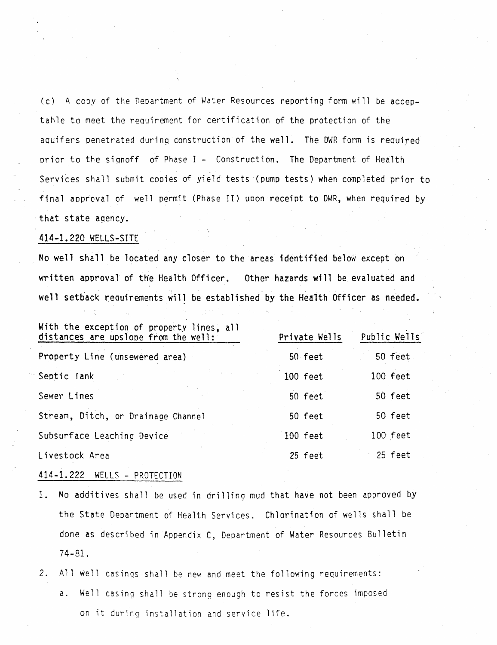(c) A cooy of the neoartment of Water Resources reporting form will be acceptahle to meet the requirement for certification of the protection of the aquifers penetrated during construction of the well. The DWR form is required prior to the signoff of Phase I - Construction. The Department of Health Services shall submit copies of yield tests (pump tests) when completed prior to final approval of well permit (Phase II) upon receipt to DWR, when required by that state agency.

## 414-1.220 WELLS-SITE

No well shall be located any closer to the areas identified below except on written approval of the Health Officer. Other hazards will be evaluated and well setback requirements will be established by the Health Officer as needed.

| With the exception of property lines, all<br>distances are upslope from the well: | Private Wells | Public Wells |
|-----------------------------------------------------------------------------------|---------------|--------------|
| Property Line (unsewered area)                                                    | 50 feet       | 50 feet      |
| Septic Tank                                                                       | 100 feet      | 100 feet     |
| Sewer Lines                                                                       | 50 feet       | 50 feet      |
| Stream, Ditch, or Drainage Channel                                                | 50 feet       | 50 feet      |
| Subsurface Leaching Device                                                        | 100 feet      | 100 feet     |
| Livestock Area                                                                    | 25 feet       | 25 feet      |
|                                                                                   |               |              |

#### 414-1.222 WELLS - PROTECTION

- 1. No additives shall be used in drilling mud that have not been approved by the State Department of Health Services. Chlorination of wells shall be done as described in Appendix C, Department of Water Resources Bulletin 74-81.
- 2. All well casinqs shall be new and meet the following requirements:
	- a. Well casing shall be strong enough to resist the forces imposed on it during installation and service life.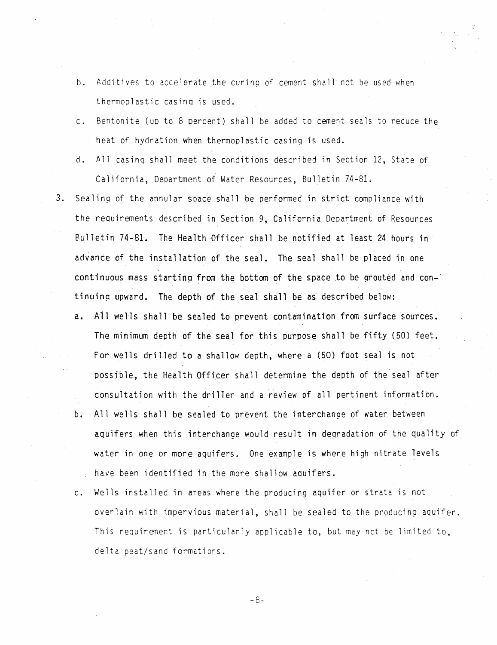- b. Additives to accelerate the curing of cement shall not be used when thermoplastic casino is used.
- c. Bentonite (up to 8 oercent) shall be added to cement seals to reduce the heat of hydration when thermoplastic casing is used.
- d. All casinq shall meet the conditions described in Section 12, State of California, Department of Water Resources, Bulletin 74-81.
- 3. Sealing of the annular space shall be performed in strict compliance with the requirements described in Section 9, California Department of Resources Bulletin 74-81. The Health Officer shall be notified at least 24 hours in advance of the installation of the seal. The seal shall be placed in one continuous mass starting from the bottom of the space to be grouted and continuing upward. The depth of the seal shall be as described below:
	- a. A11 wells shall be sealed to prevent contamination from surface sources. The minimum depth of the seal for this purpose shall be fifty (50) feet. For wells drilled to a shallow depth, where a (50) foot seal is not possible, the Health Officer shall determine the depth of the seal after consultation with the driller and a review of all pertinent information.
	- b. All wells shall be sealed to prevent the interchange of water between aquifers when this interchange would result in deqradation of the quality of water in one or more aquifers. One example is where high nitrate levels have been identified in the more shallow aauifers.
	- c. Wells installed in areas where the producing aquifer or strata is not overlain with impervious material, shall be sealed to the producing aquifer. This requirement is particularly applicable to, but may not be limited to, delta peat/sand formations.

-8-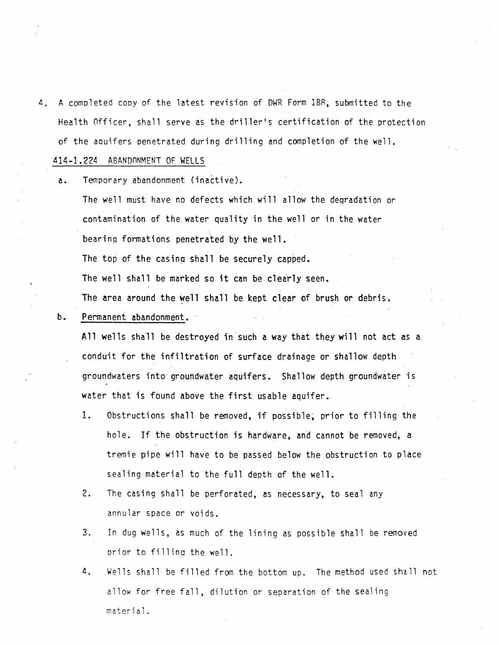- 4. A completed cooy of the latest revision of DWR Form 18R, submitted to the Health 0fficer, shall serve as the driller's certification of the protection of the aauifers penetrated during drilling and completion of the well. ~14-1.224 ABAND0NMENT OF WELLS
	- a. Temporary abandonment (inactive).
		- The well must have no defects which will allow the degradation or contamination of the water quality in the well or in the water bearing formations penetrated by the well. The top of the casing shall be securely capped. The well shall be marked so it can be clearly seen. The area around the well shall be kept clear of brush or debris $\cdot$ .
	- b. Permanent abandonment.

All wells shall be destroyed in such a way that they will not act as a conduit for the infiltration of surface drainage or shallow depth groundwaters into groundwater aquifers. Shallow depth groundwater is water that is found above the first usable aquifer.

- 1. Obstructions shall be removed, if possible, prior to filling the hole. If the obstruction is hardware, and cannot be removed, a tremie pipe will have to be passed below the obstruction to place sealing material to the full depth of the well.
- 2. The casing shall be perforated, as necessary, to seal any annular space or voids.
- 3. In dug wells, as much of the lining as possible shall be removed prior to filling the well.
- 4. Wells shall be filled from the bottom up. The method used shall not allow for free fall, dilution or separation of the sealing material.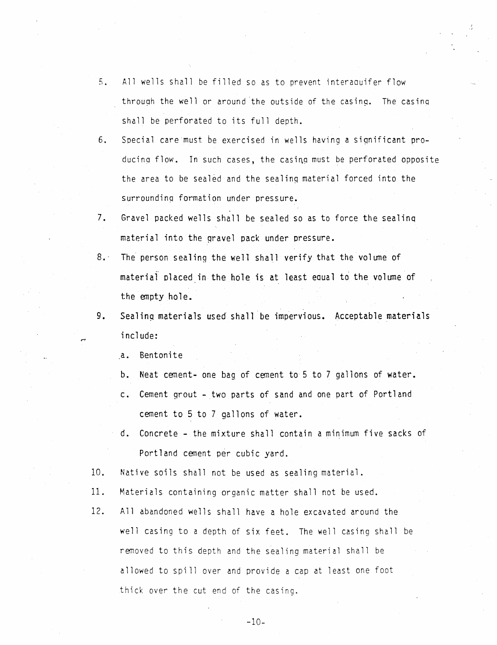- S. All wells shall be filled so as to prevent interaauifer flow through the well or around the outside of the casing. The casing shall be perforated to its full depth.
- 6. Special care·must be exercised in wells having a significant producing flow. In such cases, the casing must be perforated opposite the area to be sealed and the sealinq material forced into the surroundinq formation under pressure.
- 7. Gravel packed wells shall be sealed so as to force the sealinq material into the gravel pack under pressure.
- 8. The person sealing the well shall verify that the volume of material placed in the hole is at least equal to the volume of the empty hole.
- 9. Sealing materials used shall be impervious. Acceptable materials include:

a. Bentonite

- b. Neat cement- one bag of cement to 5 to 7 gallons of water.
- c. Cement grout two parts of sand and one part of Portland cement to 5 to 7 gallons of water.
- d. Concrete the mixture shall contain a minimum five sacks of Portland cement per cubic yard.
- 10. Native soils shall not be used as sealing material.
- 11. Materials containing organic matter shall not be used.
- 12. All abandoned wells shall have a hole excavated around the well casing to a depth of six feet. The well casing shall be removed to this depth and the sealing material shall be allowed to spill over and provide a cap at least one foot thick over the cut end of the casing.

-10-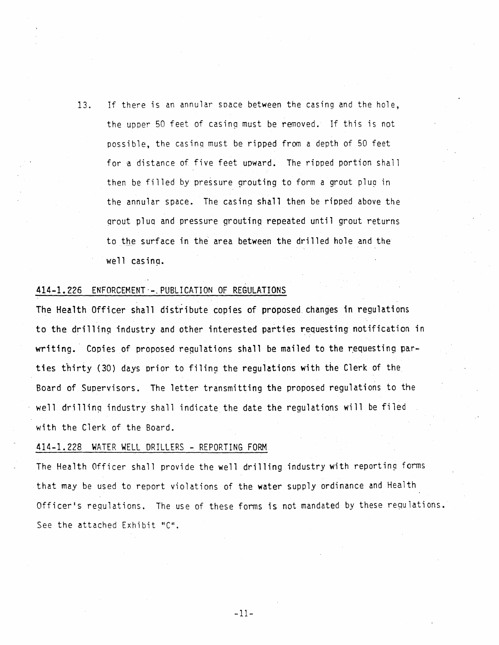13. If there is an annular soace between the casing and the hole, the upper 50 feet of casing must be removed. If this is not possible, the casinq must be ripped from a depth of 50 feet for a distance of five feet upward. The ripped portion shall then be filled by pressure grouting to form a grout plug in the annular space. The casing shall then be ripped above the qrout plua and pressure grouting repeated until grout returns to the surface in the area between the drilled hole and the well casing.

# 414-1.226 ENFORCEMENT·-. PUBLICATION OF REGULATIONS

The Health Officer shall distribute copies of proposed changes in regulations to the drilling industry and other interested parties requesting notification in writing. Copies of proposed requlations shall be mailed to the requesting parties thirty (30) days orior to filing the regulations with the Clerk of the Board of Supervisors. The letter transmitting the proposed regulations to the well drillinq industry shall indicate the date the regulations will be filed with the Clerk of the Board.

#### 414-1. 228 WATER WELL DRILLERS - REPORTING FORM

The Health Officer shall provide the well drilling industry with reporting forms that may be used to report violations of the water supply ordinance and Health Officer's requlations. The use of these forms is not mandated by these requlations. See the attached Exhibit "C".

-11-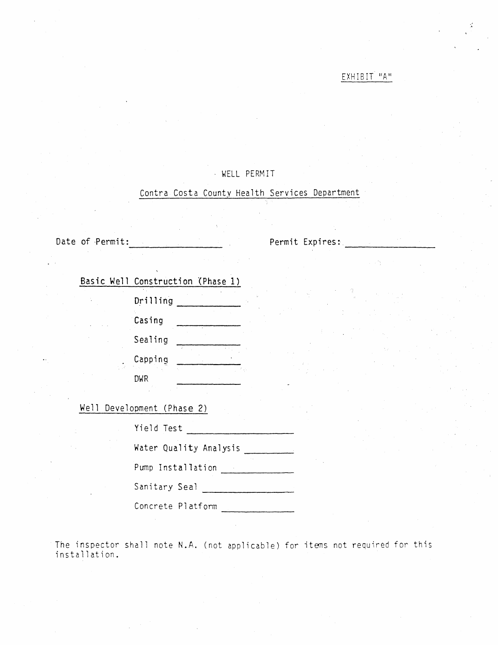# $EXHIBIT$  "A"

# - WELL PERM IT

# Contra Costa County Health Services Department

Date of Permit:

Permit Expires: ~~~~~~~~

|  |  | Basic Well Construction (Phase 1) |  |
|--|--|-----------------------------------|--|
|  |  |                                   |  |

| Drilling |  |
|----------|--|
| Casing   |  |
| Sealing  |  |
| Capping  |  |
| DWR      |  |

Well Development (Phase 2)

| Yield Test             |  |
|------------------------|--|
| Water Quality Analysis |  |
| Pump Installation      |  |

Sanitary Seal

Concrete Platform

The inspector shall note N.A. (not applicable) for items not required for this installation.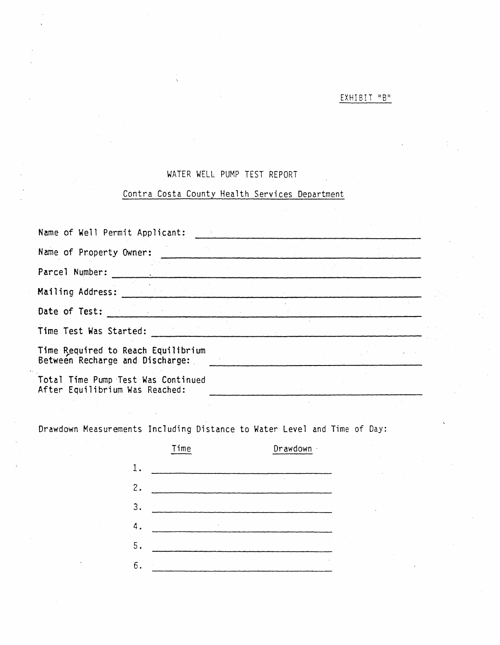# EXHIBIT "B"

# WATER WELL PUMP TEST REPORT

# Contra Costa County Health Services Department

| Name of Well Permit Applicant:                                        |  |  |
|-----------------------------------------------------------------------|--|--|
| Name of Property Owner:                                               |  |  |
| Parcel Number:                                                        |  |  |
| Mailing Address:                                                      |  |  |
| Date of Test:                                                         |  |  |
| Time Test Was Started:                                                |  |  |
| Time Required to Reach Equilibrium<br>Between Recharge and Discharge: |  |  |
| Total Time Pump Test Was Continued<br>After Equilibrium Was Reached:  |  |  |

Drawdown Measurements Including Distance to Water Level and Time of Day:

|    | Time | Drawdown · |
|----|------|------------|
| 1. |      |            |
| 2. |      |            |
| 3. |      |            |
| 4. |      |            |
| 5. |      |            |
| 6  |      |            |